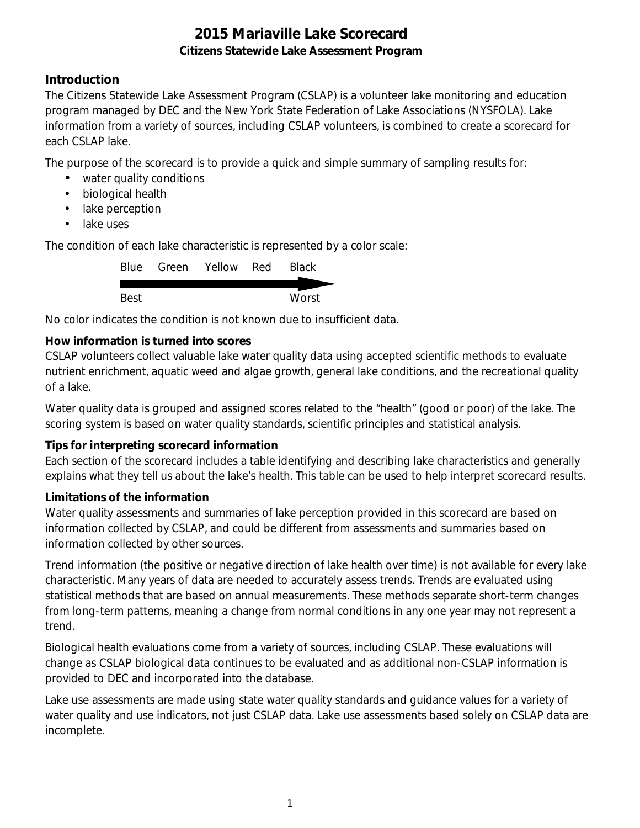### **Introduction**

The Citizens Statewide Lake Assessment Program (CSLAP) is a volunteer lake monitoring and education program managed by DEC and the New York State Federation of Lake Associations (NYSFOLA). Lake information from a variety of sources, including CSLAP volunteers, is combined to create a scorecard for each CSLAP lake.

The purpose of the scorecard is to provide a quick and simple summary of sampling results for:

- water quality conditions
- $\mathcal{L}^{\text{max}}$ biological health
- . lake perception
- L. lake uses

The condition of each lake characteristic is represented by a color scale:

|      | Blue Green Yellow Red | <b>Black</b> |
|------|-----------------------|--------------|
|      |                       |              |
| Best |                       | Worst        |

No color indicates the condition is not known due to insufficient data.

### **How information is turned into scores**

CSLAP volunteers collect valuable lake water quality data using accepted scientific methods to evaluate nutrient enrichment, aquatic weed and algae growth, general lake conditions, and the recreational quality of a lake.

Water quality data is grouped and assigned scores related to the "health" (good or poor) of the lake. The scoring system is based on water quality standards, scientific principles and statistical analysis.

#### **Tips for interpreting scorecard information**

Each section of the scorecard includes a table identifying and describing lake characteristics and generally explains what they tell us about the lake's health. This table can be used to help interpret scorecard results.

#### **Limitations of the information**

Water quality assessments and summaries of lake perception provided in this scorecard are based on information collected by CSLAP, and could be different from assessments and summaries based on information collected by other sources.

Trend information (the positive or negative direction of lake health over time) is not available for every lake characteristic. Many years of data are needed to accurately assess trends. Trends are evaluated using statistical methods that are based on annual measurements. These methods separate short-term changes from long-term patterns, meaning a change from normal conditions in any one year may not represent a trend.

Biological health evaluations come from a variety of sources, including CSLAP. These evaluations will change as CSLAP biological data continues to be evaluated and as additional non-CSLAP information is provided to DEC and incorporated into the database.

Lake use assessments are made using state water quality standards and guidance values for a variety of water quality and use indicators, not just CSLAP data. Lake use assessments based solely on CSLAP data are incomplete.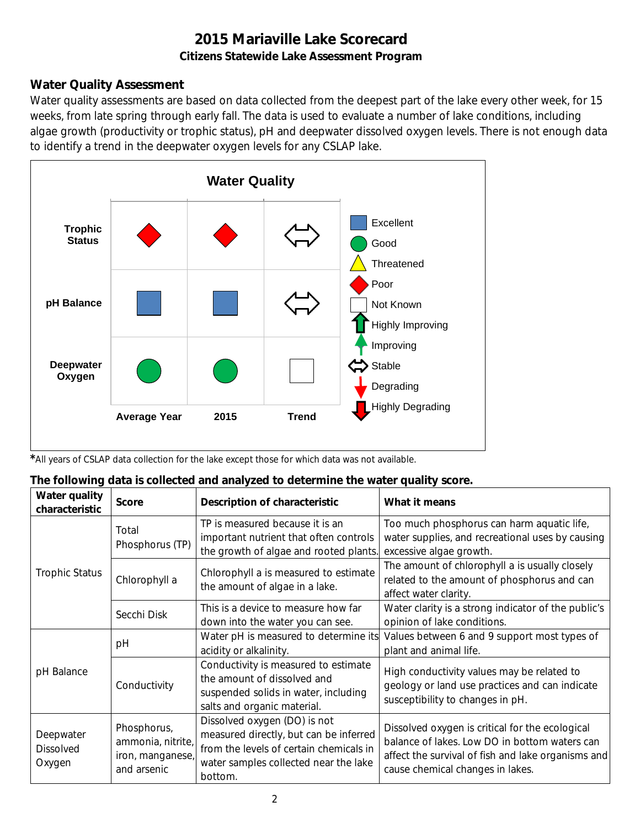### **Water Quality Assessment**

Water quality assessments are based on data collected from the deepest part of the lake every other week, for 15 weeks, from late spring through early fall. The data is used to evaluate a number of lake conditions, including algae growth (productivity or trophic status), pH and deepwater dissolved oxygen levels. There is not enough data to identify a trend in the deepwater oxygen levels for any CSLAP lake.



*\**All years of CSLAP data collection for the lake except those for which data was not available.

| The following data is collected and analyzed to determine the water quality score. |  |  |
|------------------------------------------------------------------------------------|--|--|
|                                                                                    |  |  |

| Water quality<br>characteristic         | <b>Score</b>                                                        | Description of characteristic                                                                                                                                         | What it means                                                                                                                                                                              |
|-----------------------------------------|---------------------------------------------------------------------|-----------------------------------------------------------------------------------------------------------------------------------------------------------------------|--------------------------------------------------------------------------------------------------------------------------------------------------------------------------------------------|
|                                         | Total<br>Phosphorus (TP)                                            | TP is measured because it is an<br>important nutrient that often controls<br>the growth of algae and rooted plants.                                                   | Too much phosphorus can harm aquatic life,<br>water supplies, and recreational uses by causing<br>excessive algae growth.                                                                  |
| <b>Trophic Status</b>                   | Chlorophyll a                                                       | Chlorophyll a is measured to estimate<br>the amount of algae in a lake.                                                                                               | The amount of chlorophyll a is usually closely<br>related to the amount of phosphorus and can<br>affect water clarity.                                                                     |
|                                         | Secchi Disk                                                         | This is a device to measure how far<br>down into the water you can see.                                                                                               | Water clarity is a strong indicator of the public's<br>opinion of lake conditions.                                                                                                         |
|                                         | рH                                                                  | Water pH is measured to determine its<br>acidity or alkalinity.                                                                                                       | Values between 6 and 9 support most types of<br>plant and animal life.                                                                                                                     |
| pH Balance                              | Conductivity                                                        | Conductivity is measured to estimate<br>the amount of dissolved and<br>suspended solids in water, including<br>salts and organic material.                            | High conductivity values may be related to<br>geology or land use practices and can indicate<br>susceptibility to changes in pH.                                                           |
| Deepwater<br><b>Dissolved</b><br>Oxygen | Phosphorus,<br>ammonia, nitrite,<br>iron, manganese,<br>and arsenic | Dissolved oxygen (DO) is not<br>measured directly, but can be inferred<br>from the levels of certain chemicals in<br>water samples collected near the lake<br>bottom. | Dissolved oxygen is critical for the ecological<br>balance of lakes. Low DO in bottom waters can<br>affect the survival of fish and lake organisms and<br>cause chemical changes in lakes. |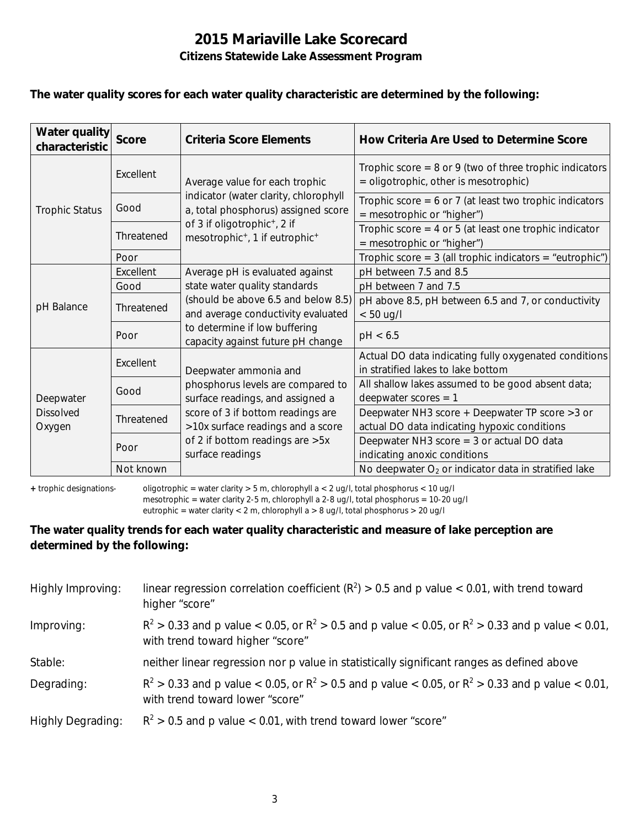#### **The water quality scores for each water quality characteristic are determined by the following:**

| Water quality<br>characteristic         | <b>Score</b> | <b>Criteria Score Elements</b>                                                                     | How Criteria Are Used to Determine Score                                                           |
|-----------------------------------------|--------------|----------------------------------------------------------------------------------------------------|----------------------------------------------------------------------------------------------------|
|                                         | Excellent    | Average value for each trophic                                                                     | Trophic score $= 8$ or 9 (two of three trophic indicators<br>= oligotrophic, other is mesotrophic) |
| <b>Trophic Status</b>                   | Good         | indicator (water clarity, chlorophyll<br>a, total phosphorus) assigned score                       | Trophic score = $6$ or 7 (at least two trophic indicators<br>$=$ mesotrophic or "higher")          |
|                                         | Threatened   | of 3 if oligotrophic <sup>+</sup> , 2 if<br>mesotrophic <sup>+</sup> , 1 if eutrophic <sup>+</sup> | Trophic score $=$ 4 or 5 (at least one trophic indicator<br>= mesotrophic or "higher")             |
|                                         | Poor         |                                                                                                    | Trophic score = $3$ (all trophic indicators = "eutrophic")                                         |
|                                         | Excellent    | Average pH is evaluated against                                                                    | pH between 7.5 and 8.5                                                                             |
|                                         | Good         | state water quality standards                                                                      | pH between 7 and 7.5                                                                               |
| pH Balance                              | Threatened   | (should be above 6.5 and below 8.5)<br>and average conductivity evaluated                          | pH above 8.5, pH between 6.5 and 7, or conductivity<br>$< 50$ ug/l                                 |
|                                         | Poor         | to determine if low buffering<br>capacity against future pH change                                 | pH < 6.5                                                                                           |
|                                         | Excellent    | Deepwater ammonia and                                                                              | Actual DO data indicating fully oxygenated conditions<br>in stratified lakes to lake bottom        |
| Deepwater<br><b>Dissolved</b><br>Oxygen | Good         | phosphorus levels are compared to<br>surface readings, and assigned a                              | All shallow lakes assumed to be good absent data;<br>deepwater scores $= 1$                        |
|                                         | Threatened   | score of 3 if bottom readings are<br>>10x surface readings and a score                             | Deepwater NH3 score + Deepwater TP score > 3 or<br>actual DO data indicating hypoxic conditions    |
|                                         | Poor         | of 2 if bottom readings are >5x<br>surface readings                                                | Deepwater NH3 score $=$ 3 or actual DO data<br>indicating anoxic conditions                        |
|                                         | Not known    |                                                                                                    | No deepwater $O2$ or indicator data in stratified lake                                             |

**+** trophic designations- oligotrophic = water clarity > 5 m, chlorophyll a < 2 ug/l, total phosphorus < 10 ug/l mesotrophic = water clarity 2-5 m, chlorophyll a 2-8 ug/l, total phosphorus = 10-20 ug/l

eutrophic = water clarity < 2 m, chlorophyll a > 8 ug/l, total phosphorus > 20 ug/l

#### **The water quality trends for each water quality characteristic and measure of lake perception are determined by the following:**

| Highly Improving:        | linear regression correlation coefficient ( $R^2$ ) > 0.5 and p value < 0.01, with trend toward<br>higher "score"                           |
|--------------------------|---------------------------------------------------------------------------------------------------------------------------------------------|
| Improving:               | $R^2 > 0.33$ and p value < 0.05, or $R^2 > 0.5$ and p value < 0.05, or $R^2 > 0.33$ and p value < 0.01,<br>with trend toward higher "score" |
| Stable:                  | neither linear regression nor p value in statistically significant ranges as defined above                                                  |
| Degrading:               | $R^2 > 0.33$ and p value < 0.05, or $R^2 > 0.5$ and p value < 0.05, or $R^2 > 0.33$ and p value < 0.01,<br>with trend toward lower "score"  |
| <b>Highly Degrading:</b> | $R^2 > 0.5$ and p value < 0.01, with trend toward lower "score"                                                                             |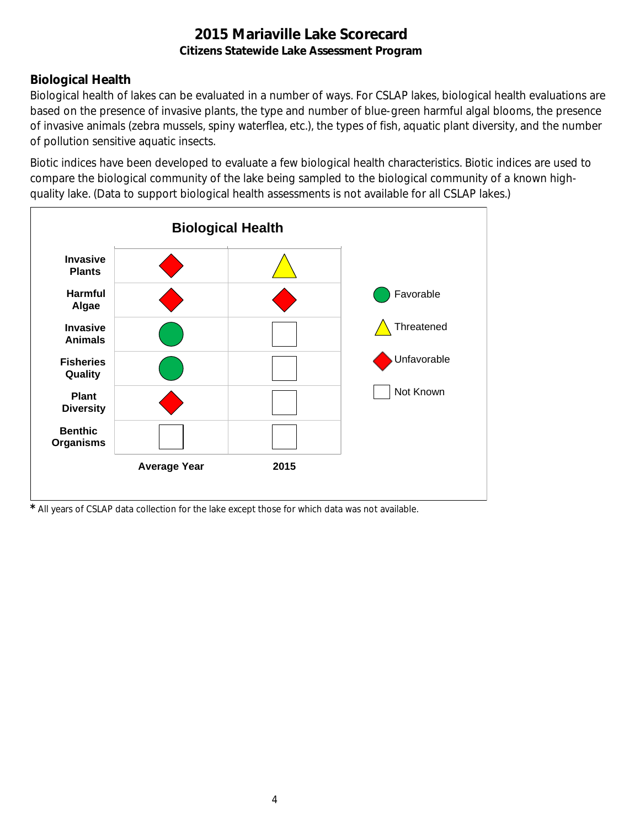# **Biological Health**

Biological health of lakes can be evaluated in a number of ways. For CSLAP lakes, biological health evaluations are based on the presence of invasive plants, the type and number of blue-green harmful algal blooms, the presence of invasive animals (zebra mussels, spiny waterflea, etc.), the types of fish, aquatic plant diversity, and the number of pollution sensitive aquatic insects.

Biotic indices have been developed to evaluate a few biological health characteristics. Biotic indices are used to compare the biological community of the lake being sampled to the biological community of a known highquality lake. (Data to support biological health assessments is not available for all CSLAP lakes.)



*\** All years of CSLAP data collection for the lake except those for which data was not available.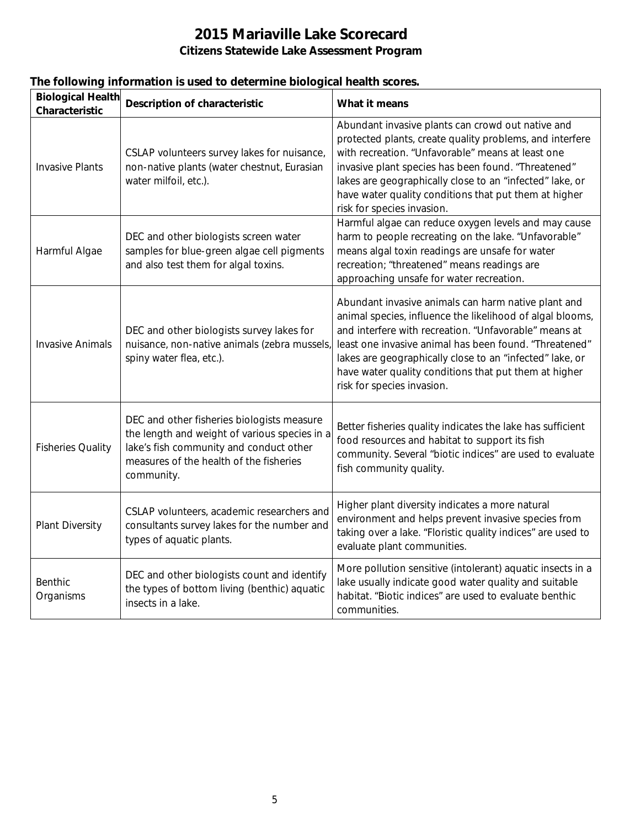|  |  |  | The following information is used to determine biological health scores. |
|--|--|--|--------------------------------------------------------------------------|
|  |  |  |                                                                          |

| <b>Biological Health</b><br>Characteristic | <b>Description of characteristic</b>                                                                                                                                                            | What it means                                                                                                                                                                                                                                                                                                                                                                          |
|--------------------------------------------|-------------------------------------------------------------------------------------------------------------------------------------------------------------------------------------------------|----------------------------------------------------------------------------------------------------------------------------------------------------------------------------------------------------------------------------------------------------------------------------------------------------------------------------------------------------------------------------------------|
| <b>Invasive Plants</b>                     | CSLAP volunteers survey lakes for nuisance,<br>non-native plants (water chestnut, Eurasian<br>water milfoil, etc.).                                                                             | Abundant invasive plants can crowd out native and<br>protected plants, create quality problems, and interfere<br>with recreation. "Unfavorable" means at least one<br>invasive plant species has been found. "Threatened"<br>lakes are geographically close to an "infected" lake, or<br>have water quality conditions that put them at higher<br>risk for species invasion.           |
| Harmful Algae                              | DEC and other biologists screen water<br>samples for blue-green algae cell pigments<br>and also test them for algal toxins.                                                                     | Harmful algae can reduce oxygen levels and may cause<br>harm to people recreating on the lake. "Unfavorable"<br>means algal toxin readings are unsafe for water<br>recreation; "threatened" means readings are<br>approaching unsafe for water recreation.                                                                                                                             |
| <b>Invasive Animals</b>                    | DEC and other biologists survey lakes for<br>nuisance, non-native animals (zebra mussels)<br>spiny water flea, etc.).                                                                           | Abundant invasive animals can harm native plant and<br>animal species, influence the likelihood of algal blooms,<br>and interfere with recreation. "Unfavorable" means at<br>least one invasive animal has been found. "Threatened"<br>lakes are geographically close to an "infected" lake, or<br>have water quality conditions that put them at higher<br>risk for species invasion. |
| <b>Fisheries Quality</b>                   | DEC and other fisheries biologists measure<br>the length and weight of various species in a<br>lake's fish community and conduct other<br>measures of the health of the fisheries<br>community. | Better fisheries quality indicates the lake has sufficient<br>food resources and habitat to support its fish<br>community. Several "biotic indices" are used to evaluate<br>fish community quality.                                                                                                                                                                                    |
| Plant Diversity                            | CSLAP volunteers, academic researchers and<br>consultants survey lakes for the number and<br>types of aquatic plants.                                                                           | Higher plant diversity indicates a more natural<br>environment and helps prevent invasive species from<br>taking over a lake. "Floristic quality indices" are used to<br>evaluate plant communities.                                                                                                                                                                                   |
| Benthic<br>Organisms                       | DEC and other biologists count and identify<br>the types of bottom living (benthic) aquatic<br>insects in a lake.                                                                               | More pollution sensitive (intolerant) aquatic insects in a<br>lake usually indicate good water quality and suitable<br>habitat. "Biotic indices" are used to evaluate benthic<br>communities.                                                                                                                                                                                          |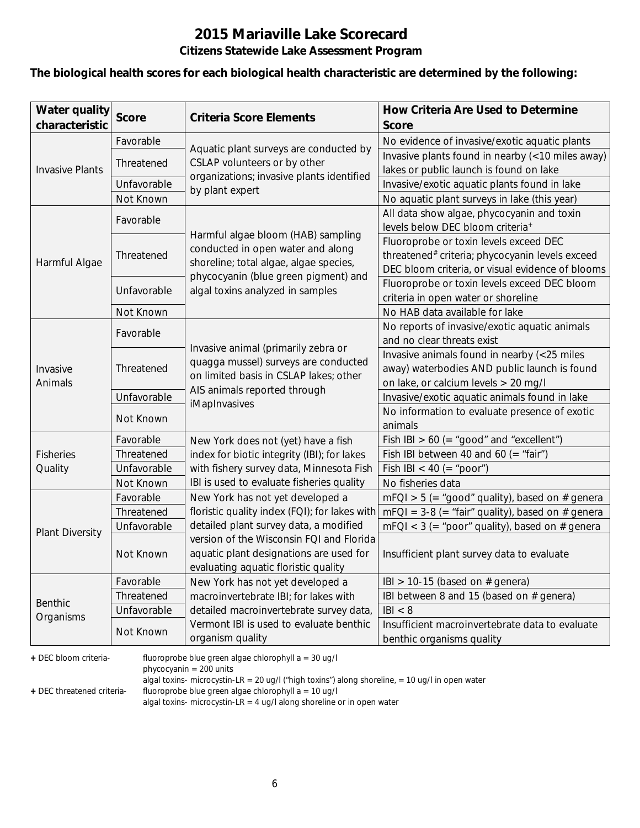#### **The biological health scores for each biological health characteristic are determined by the following:**

| <b>Water quality</b><br>characteristic | <b>Score</b> | <b>Criteria Score Elements</b>                               | How Criteria Are Used to Determine<br><b>Score</b>                           |
|----------------------------------------|--------------|--------------------------------------------------------------|------------------------------------------------------------------------------|
|                                        | Favorable    |                                                              | No evidence of invasive/exotic aquatic plants                                |
|                                        |              | Aquatic plant surveys are conducted by                       | Invasive plants found in nearby (<10 miles away)                             |
| <b>Invasive Plants</b>                 | Threatened   | CSLAP volunteers or by other                                 | lakes or public launch is found on lake                                      |
|                                        | Unfavorable  | organizations; invasive plants identified<br>by plant expert | Invasive/exotic aquatic plants found in lake                                 |
|                                        | Not Known    |                                                              | No aquatic plant surveys in lake (this year)                                 |
|                                        | Favorable    |                                                              | All data show algae, phycocyanin and toxin                                   |
|                                        |              | Harmful algae bloom (HAB) sampling                           | levels below DEC bloom criteria <sup>+</sup>                                 |
|                                        |              | conducted in open water and along                            | Fluoroprobe or toxin levels exceed DEC                                       |
| Harmful Algae                          | Threatened   | shoreline; total algae, algae species,                       | threatened# criteria; phycocyanin levels exceed                              |
|                                        |              | phycocyanin (blue green pigment) and                         | DEC bloom criteria, or visual evidence of blooms                             |
|                                        | Unfavorable  | algal toxins analyzed in samples                             | Fluoroprobe or toxin levels exceed DEC bloom                                 |
|                                        |              |                                                              | criteria in open water or shoreline                                          |
|                                        | Not Known    |                                                              | No HAB data available for lake                                               |
|                                        | Favorable    |                                                              | No reports of invasive/exotic aquatic animals                                |
|                                        |              | Invasive animal (primarily zebra or                          | and no clear threats exist                                                   |
|                                        | Threatened   | quagga mussel) surveys are conducted                         | Invasive animals found in nearby (<25 miles                                  |
| Invasive                               |              | on limited basis in CSLAP lakes; other                       | away) waterbodies AND public launch is found                                 |
| Animals                                |              | AIS animals reported through                                 | on lake, or calcium levels > 20 mg/l                                         |
|                                        | Unfavorable  | iMapInvasives                                                | Invasive/exotic aquatic animals found in lake                                |
|                                        | Not Known    |                                                              | No information to evaluate presence of exotic                                |
|                                        |              |                                                              | animals                                                                      |
|                                        | Favorable    | New York does not (yet) have a fish                          | Fish IBI $> 60$ (= "good" and "excellent")                                   |
| <b>Fisheries</b>                       | Threatened   | index for biotic integrity (IBI); for lakes                  | Fish IBI between 40 and 60 (= "fair")                                        |
| Quality                                | Unfavorable  | with fishery survey data, Minnesota Fish                     | Fish IBI < 40 (= "poor")                                                     |
|                                        | Not Known    | IBI is used to evaluate fisheries quality                    | No fisheries data                                                            |
|                                        | Favorable    | New York has not yet developed a                             | $mFQI > 5$ (= "good" quality), based on # genera                             |
|                                        | Threatened   | floristic quality index (FQI); for lakes with                | $mFQI = 3-8 (= "fair" quality)$ , based on # genera                          |
| <b>Plant Diversity</b>                 | Unfavorable  | detailed plant survey data, a modified                       | $mFQI < 3$ (= "poor" quality), based on # genera                             |
|                                        |              | version of the Wisconsin FQI and Florida                     |                                                                              |
|                                        | Not Known    | aquatic plant designations are used for                      | Insufficient plant survey data to evaluate                                   |
|                                        |              | evaluating aquatic floristic quality                         |                                                                              |
|                                        | Favorable    | New York has not yet developed a                             | IBI > 10-15 (based on $#$ genera)                                            |
| <b>Benthic</b>                         | Threatened   | macroinvertebrate IBI; for lakes with                        | IBI between 8 and 15 (based on # genera)                                     |
| Organisms                              | Unfavorable  | detailed macroinvertebrate survey data,                      | B  < 8                                                                       |
|                                        | Not Known    | Vermont IBI is used to evaluate benthic<br>organism quality  | Insufficient macroinvertebrate data to evaluate<br>benthic organisms quality |

**+** DEC bloom criteria- fluoroprobe blue green algae chlorophyll a = 30 ug/l

phycocyanin = 200 units

algal toxins- microcystin-LR = 20 ug/l ("high toxins") along shoreline, = 10 ug/l in open water

**+** DEC threatened criteria- fluoroprobe blue green algae chlorophyll a = 10 ug/l

algal toxins- microcystin-LR = 4 ug/l along shoreline or in open water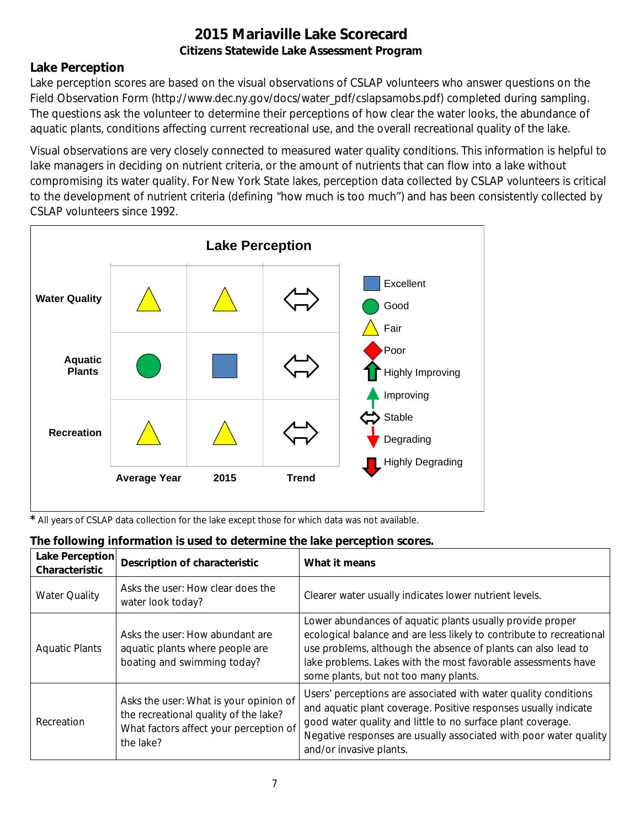### **Lake Perception**

Lake perception scores are based on the visual observations of CSLAP volunteers who answer questions on the Field Observation Form (http://www.dec.ny.gov/docs/water\_pdf/cslapsamobs.pdf) completed during sampling. The questions ask the volunteer to determine their perceptions of how clear the water looks, the abundance of aquatic plants, conditions affecting current recreational use, and the overall recreational quality of the lake.

Visual observations are very closely connected to measured water quality conditions. This information is helpful to lake managers in deciding on nutrient criteria, or the amount of nutrients that can flow into a lake without compromising its water quality. For New York State lakes, perception data collected by CSLAP volunteers is critical to the development of nutrient criteria (defining "how much is too much") and has been consistently collected by CSLAP volunteers since 1992.



*\** All years of CSLAP data collection for the lake except those for which data was not available.

| Lake Perception<br>Characteristic | Description of characteristic                                                                                                          | What it means                                                                                                                                                                                                                                                                                                |
|-----------------------------------|----------------------------------------------------------------------------------------------------------------------------------------|--------------------------------------------------------------------------------------------------------------------------------------------------------------------------------------------------------------------------------------------------------------------------------------------------------------|
| <b>Water Quality</b>              | Asks the user: How clear does the<br>water look today?                                                                                 | Clearer water usually indicates lower nutrient levels.                                                                                                                                                                                                                                                       |
| <b>Aquatic Plants</b>             | Asks the user: How abundant are<br>aquatic plants where people are<br>boating and swimming today?                                      | Lower abundances of aquatic plants usually provide proper<br>ecological balance and are less likely to contribute to recreational<br>use problems, although the absence of plants can also lead to<br>lake problems. Lakes with the most favorable assessments have<br>some plants, but not too many plants. |
| Recreation                        | Asks the user: What is your opinion of<br>the recreational quality of the lake?<br>What factors affect your perception of<br>the lake? | Users' perceptions are associated with water quality conditions<br>and aquatic plant coverage. Positive responses usually indicate<br>good water quality and little to no surface plant coverage.<br>Negative responses are usually associated with poor water quality<br>and/or invasive plants.            |

# **The following information is used to determine the lake perception scores.**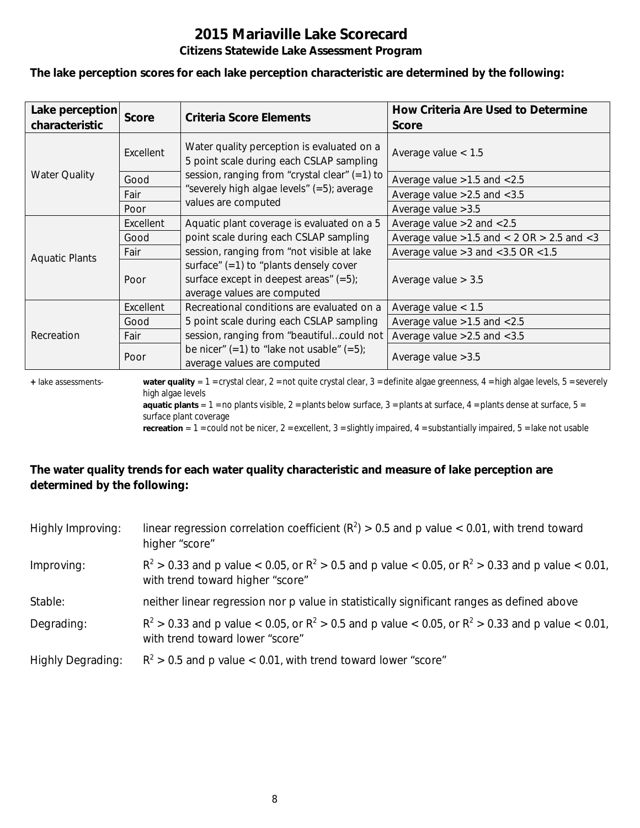#### **The lake perception scores for each lake perception characteristic are determined by the following:**

| Lake perception<br>characteristic | <b>Score</b> | Criteria Score Elements                                                                                              | How Criteria Are Used to Determine<br><b>Score</b>  |
|-----------------------------------|--------------|----------------------------------------------------------------------------------------------------------------------|-----------------------------------------------------|
|                                   | Excellent    | Water quality perception is evaluated on a<br>5 point scale during each CSLAP sampling                               | Average value $< 1.5$                               |
| <b>Water Quality</b>              | Good         | session, ranging from "crystal clear" (=1) to                                                                        | Average value $>1.5$ and $< 2.5$                    |
|                                   | Fair         | "severely high algae levels" (=5); average                                                                           | Average value $>2.5$ and $< 3.5$                    |
|                                   | Poor         | values are computed                                                                                                  | Average value $>3.5$                                |
|                                   | Excellent    | Aquatic plant coverage is evaluated on a 5                                                                           | Average value $>2$ and $< 2.5$                      |
|                                   | Good         | point scale during each CSLAP sampling                                                                               | Average value $>1.5$ and $< 2$ OR $> 2.5$ and $< 3$ |
|                                   | Fair         | session, ranging from "not visible at lake                                                                           | Average value $>3$ and $<$ 3.5 OR $<$ 1.5           |
| <b>Aquatic Plants</b>             | Poor         | surface" $(=1)$ to "plants densely cover<br>surface except in deepest areas" $(=5)$ ;<br>average values are computed | Average value $> 3.5$                               |
| Recreation                        | Excellent    | Recreational conditions are evaluated on a                                                                           | Average value $< 1.5$                               |
|                                   | Good         | 5 point scale during each CSLAP sampling                                                                             | Average value $>1.5$ and $< 2.5$                    |
|                                   | Fair         | session, ranging from "beautifulcould not                                                                            | Average value $>2.5$ and $< 3.5$                    |
|                                   | Poor         | be nicer" $(=1)$ to "lake not usable" $(=5)$ ;<br>average values are computed                                        | Average value $>3.5$                                |

**+** lake assessments- **water quality** = 1 = crystal clear, 2 = not quite crystal clear, 3 = definite algae greenness, 4 = high algae levels, 5 = severely high algae levels

**aquatic plants** =  $1$  = no plants visible,  $2$  = plants below surface,  $3$  = plants at surface,  $4$  = plants dense at surface,  $5$  = surface plant coverage

**recreation** = 1 = could not be nicer, 2 = excellent, 3 = slightly impaired, 4 = substantially impaired, 5 = lake not usable

### **The water quality trends for each water quality characteristic and measure of lake perception are determined by the following:**

| Highly Improving:        | linear regression correlation coefficient ( $R^2$ ) > 0.5 and p value < 0.01, with trend toward<br>higher "score"                           |
|--------------------------|---------------------------------------------------------------------------------------------------------------------------------------------|
| Improving:               | $R^2 > 0.33$ and p value < 0.05, or $R^2 > 0.5$ and p value < 0.05, or $R^2 > 0.33$ and p value < 0.01,<br>with trend toward higher "score" |
| Stable:                  | neither linear regression nor p value in statistically significant ranges as defined above                                                  |
| Degrading:               | $R^2 > 0.33$ and p value < 0.05, or $R^2 > 0.5$ and p value < 0.05, or $R^2 > 0.33$ and p value < 0.01,<br>with trend toward lower "score"  |
| <b>Highly Degrading:</b> | $R^2 > 0.5$ and p value < 0.01, with trend toward lower "score"                                                                             |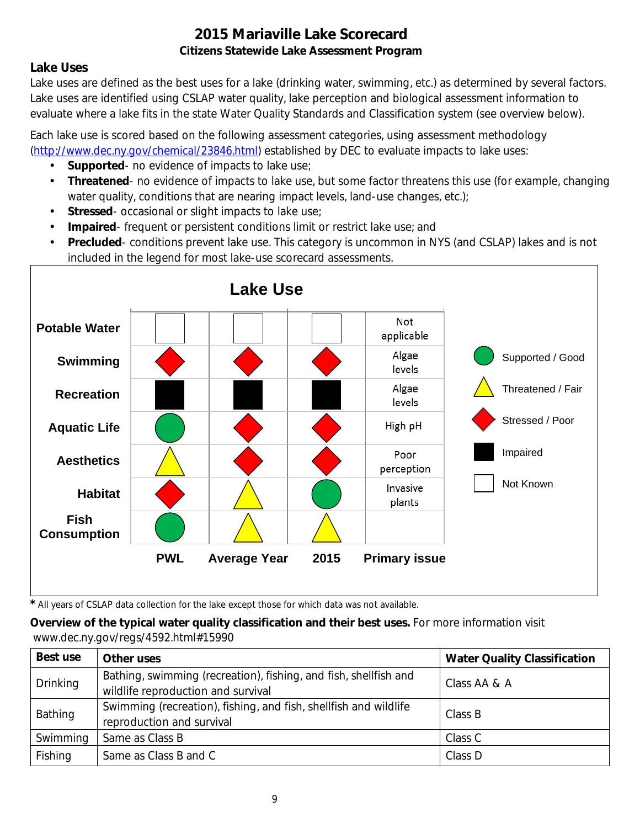### **Lake Uses**

Lake uses are defined as the best uses for a lake (drinking water, swimming, etc.) as determined by several factors. Lake uses are identified using CSLAP water quality, lake perception and biological assessment information to evaluate where a lake fits in the state Water Quality Standards and Classification system (see overview below).

Each lake use is scored based on the following assessment categories, using assessment methodology [\(http://www.dec.ny.gov/chemical/23846.html\)](http://www.dec.ny.gov/chemical/23846.html) established by DEC to evaluate impacts to lake uses:

- **Supported** no evidence of impacts to lake use;
- $\mathcal{L}^{\mathcal{L}}$ **Threatened**- no evidence of impacts to lake use, but some factor threatens this use (for example, changing water quality, conditions that are nearing impact levels, land-use changes, etc.);
- **Stressed** occasional or slight impacts to lake use;
- **Impaired** frequent or persistent conditions limit or restrict lake use; and  $\mathbf{r}$
- **Precluded** conditions prevent lake use. This category is uncommon in NYS (and CSLAP) lakes and is not included in the legend for most lake-use scorecard assessments.



*\** All years of CSLAP data collection for the lake except those for which data was not available.

### **Overview of the typical water quality classification and their best uses.** For more information visit www.dec.ny.gov/regs/4592.html#15990

| Best use        | Other uses                                                                                             | <b>Water Quality Classification</b> |
|-----------------|--------------------------------------------------------------------------------------------------------|-------------------------------------|
| <b>Drinking</b> | Bathing, swimming (recreation), fishing, and fish, shellfish and<br>wildlife reproduction and survival | Class AA & A                        |
| Bathing         | Swimming (recreation), fishing, and fish, shellfish and wildlife<br>reproduction and survival          | Class B                             |
| Swimming        | Same as Class B                                                                                        | Class C                             |
| Fishing         | Same as Class B and C                                                                                  | Class D                             |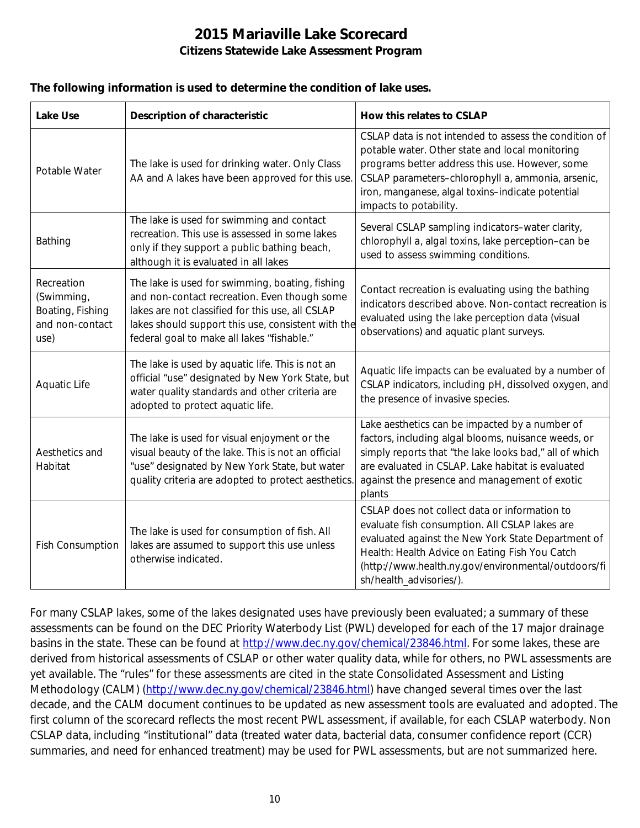#### **The following information is used to determine the condition of lake uses.**

| <b>Lake Use</b>                                                         | <b>Description of characteristic</b>                                                                                                                                                                                                                    | How this relates to CSLAP                                                                                                                                                                                                                                                                      |
|-------------------------------------------------------------------------|---------------------------------------------------------------------------------------------------------------------------------------------------------------------------------------------------------------------------------------------------------|------------------------------------------------------------------------------------------------------------------------------------------------------------------------------------------------------------------------------------------------------------------------------------------------|
| Potable Water                                                           | The lake is used for drinking water. Only Class<br>AA and A lakes have been approved for this use.                                                                                                                                                      | CSLAP data is not intended to assess the condition of<br>potable water. Other state and local monitoring<br>programs better address this use. However, some<br>CSLAP parameters-chlorophyll a, ammonia, arsenic,<br>iron, manganese, algal toxins-indicate potential<br>impacts to potability. |
| Bathing                                                                 | The lake is used for swimming and contact<br>recreation. This use is assessed in some lakes<br>only if they support a public bathing beach,<br>although it is evaluated in all lakes                                                                    | Several CSLAP sampling indicators-water clarity,<br>chlorophyll a, algal toxins, lake perception-can be<br>used to assess swimming conditions.                                                                                                                                                 |
| Recreation<br>(Swimming,<br>Boating, Fishing<br>and non-contact<br>use) | The lake is used for swimming, boating, fishing<br>and non-contact recreation. Even though some<br>lakes are not classified for this use, all CSLAP<br>lakes should support this use, consistent with the<br>federal goal to make all lakes "fishable." | Contact recreation is evaluating using the bathing<br>indicators described above. Non-contact recreation is<br>evaluated using the lake perception data (visual<br>observations) and aquatic plant surveys.                                                                                    |
| Aquatic Life                                                            | The lake is used by aquatic life. This is not an<br>official "use" designated by New York State, but<br>water quality standards and other criteria are<br>adopted to protect aquatic life.                                                              | Aquatic life impacts can be evaluated by a number of<br>CSLAP indicators, including pH, dissolved oxygen, and<br>the presence of invasive species.                                                                                                                                             |
| Aesthetics and<br>Habitat                                               | The lake is used for visual enjoyment or the<br>visual beauty of the lake. This is not an official<br>"use" designated by New York State, but water<br>quality criteria are adopted to protect aesthetics.                                              | Lake aesthetics can be impacted by a number of<br>factors, including algal blooms, nuisance weeds, or<br>simply reports that "the lake looks bad," all of which<br>are evaluated in CSLAP. Lake habitat is evaluated<br>against the presence and management of exotic<br>plants                |
| <b>Fish Consumption</b>                                                 | The lake is used for consumption of fish. All<br>lakes are assumed to support this use unless<br>otherwise indicated.                                                                                                                                   | CSLAP does not collect data or information to<br>evaluate fish consumption. All CSLAP lakes are<br>evaluated against the New York State Department of<br>Health: Health Advice on Eating Fish You Catch<br>(http://www.health.ny.gov/environmental/outdoors/fi<br>sh/health_advisories/).      |

For many CSLAP lakes, some of the lakes designated uses have previously been evaluated; a summary of these assessments can be found on the DEC Priority Waterbody List (PWL) developed for each of the 17 major drainage basins in the state. These can be found at [http://www.dec.ny.gov/chemical/23846.html.](http://www.dec.ny.gov/chemical/23846.html) For some lakes, these are derived from historical assessments of CSLAP or other water quality data, while for others, no PWL assessments are yet available. The "rules" for these assessments are cited in the state Consolidated Assessment and Listing Methodology (CALM) [\(http://www.dec.ny.gov/chemical/23846.html\)](http://www.dec.ny.gov/chemical/23846.html) have changed several times over the last decade, and the CALM document continues to be updated as new assessment tools are evaluated and adopted. The first column of the scorecard reflects the most recent PWL assessment, if available, for each CSLAP waterbody. Non CSLAP data, including "institutional" data (treated water data, bacterial data, consumer confidence report (CCR) summaries, and need for enhanced treatment) may be used for PWL assessments, but are not summarized here.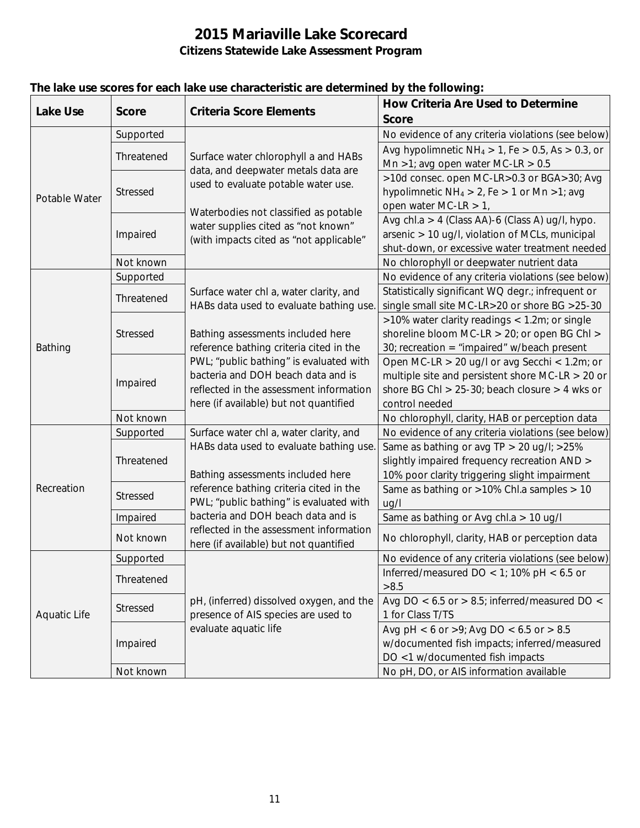| <b>Lake Use</b>     | <b>Score</b>    | <b>Criteria Score Elements</b>                                                                                     | <b>How Criteria Are Used to Determine</b>                  |
|---------------------|-----------------|--------------------------------------------------------------------------------------------------------------------|------------------------------------------------------------|
|                     |                 |                                                                                                                    | <b>Score</b>                                               |
| Potable Water       | Supported       |                                                                                                                    | No evidence of any criteria violations (see below)         |
|                     | Threatened      | Surface water chlorophyll a and HABs<br>data, and deepwater metals data are<br>used to evaluate potable water use. | Avg hypolimnetic $NH_4 > 1$ , Fe $> 0.5$ , As $> 0.3$ , or |
|                     |                 |                                                                                                                    | Mn >1; avg open water MC-LR > $0.5$                        |
|                     | <b>Stressed</b> |                                                                                                                    | >10d consec. open MC-LR>0.3 or BGA>30; Avg                 |
|                     |                 |                                                                                                                    | hypolimnetic $NH_4 > 2$ , Fe $> 1$ or Mn $>1$ ; avg        |
|                     |                 | Waterbodies not classified as potable                                                                              | open water MC-LR $> 1$ ,                                   |
|                     | Impaired        | water supplies cited as "not known"                                                                                | Avg chl.a > 4 (Class AA)-6 (Class A) ug/l, hypo.           |
|                     |                 | (with impacts cited as "not applicable"                                                                            | arsenic > 10 ug/l, violation of MCLs, municipal            |
|                     |                 |                                                                                                                    | shut-down, or excessive water treatment needed             |
|                     | Not known       |                                                                                                                    | No chlorophyll or deepwater nutrient data                  |
|                     | Supported       |                                                                                                                    | No evidence of any criteria violations (see below)         |
|                     | Threatened      | Surface water chl a, water clarity, and                                                                            | Statistically significant WQ degr.; infrequent or          |
|                     |                 | HABs data used to evaluate bathing use.                                                                            | single small site MC-LR>20 or shore BG >25-30              |
|                     | Stressed        |                                                                                                                    | >10% water clarity readings < 1.2m; or single              |
|                     |                 | Bathing assessments included here                                                                                  | shoreline bloom MC-LR > 20; or open BG Chl >               |
| Bathing             |                 | reference bathing criteria cited in the                                                                            | 30; recreation = "impaired" w/beach present                |
|                     |                 | PWL; "public bathing" is evaluated with                                                                            | Open MC-LR > 20 ug/l or avg Secchi < 1.2m; or              |
|                     | Impaired        | bacteria and DOH beach data and is                                                                                 | multiple site and persistent shore MC-LR $>$ 20 or         |
|                     |                 | reflected in the assessment information                                                                            | shore BG Chl > $25-30$ ; beach closure > 4 wks or          |
|                     |                 | here (if available) but not quantified                                                                             | control needed                                             |
|                     | Not known       |                                                                                                                    | No chlorophyll, clarity, HAB or perception data            |
|                     | Supported       | Surface water chl a, water clarity, and                                                                            | No evidence of any criteria violations (see below)         |
|                     | Threatened      | HABs data used to evaluate bathing use.                                                                            | Same as bathing or avg TP > 20 ug/l; >25%                  |
|                     |                 |                                                                                                                    | slightly impaired frequency recreation AND >               |
|                     |                 | Bathing assessments included here                                                                                  | 10% poor clarity triggering slight impairment              |
| Recreation          | <b>Stressed</b> | reference bathing criteria cited in the                                                                            | Same as bathing or >10% Chl.a samples > 10                 |
|                     |                 | PWL; "public bathing" is evaluated with                                                                            | uq/l                                                       |
|                     | Impaired        | bacteria and DOH beach data and is                                                                                 | Same as bathing or Avg chl.a > 10 ug/l                     |
|                     | Not known       | reflected in the assessment information<br>here (if available) but not quantified                                  | No chlorophyll, clarity, HAB or perception data            |
|                     | Supported       |                                                                                                                    | No evidence of any criteria violations (see below)         |
|                     |                 |                                                                                                                    | Inferred/measured DO < 1; 10% pH < $6.5$ or                |
|                     | Threatened      |                                                                                                                    | >8.5                                                       |
|                     | <b>Stressed</b> | pH, (inferred) dissolved oxygen, and the                                                                           | Avg DO < $6.5$ or > 8.5; inferred/measured DO <            |
| <b>Aquatic Life</b> |                 | presence of AIS species are used to                                                                                | 1 for Class T/TS                                           |
|                     | Impaired        | evaluate aquatic life                                                                                              | Avg pH < 6 or >9; Avg DO < 6.5 or > 8.5                    |
|                     |                 |                                                                                                                    | w/documented fish impacts; inferred/measured               |
|                     |                 |                                                                                                                    | DO <1 w/documented fish impacts                            |
|                     | Not known       |                                                                                                                    | No pH, DO, or AIS information available                    |

### **The lake use scores for each lake use characteristic are determined by the following:**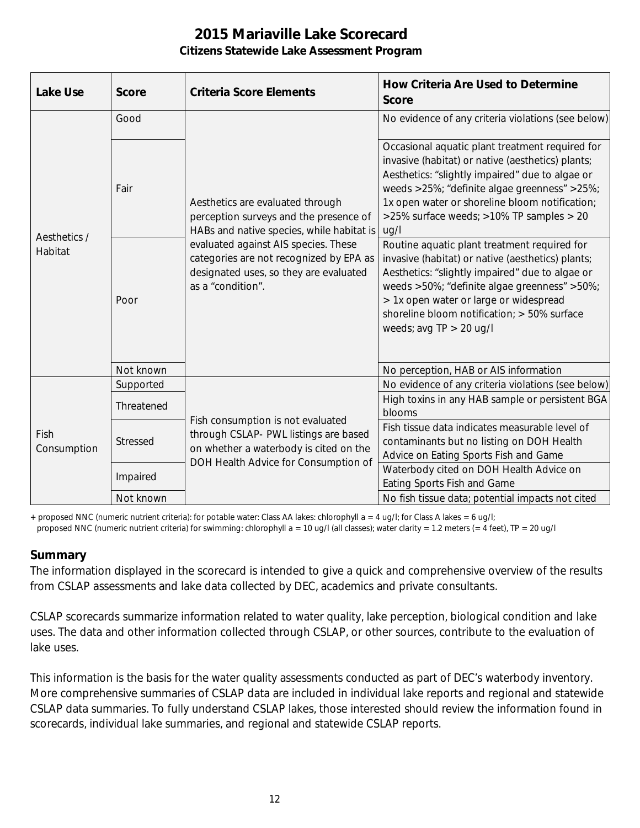| <b>Lake Use</b>         | <b>Score</b> | <b>Criteria Score Elements</b>                                                                                                                                                                                                                                            | <b>How Criteria Are Used to Determine</b><br><b>Score</b>                                                                                                                                                                                                                                                                  |
|-------------------------|--------------|---------------------------------------------------------------------------------------------------------------------------------------------------------------------------------------------------------------------------------------------------------------------------|----------------------------------------------------------------------------------------------------------------------------------------------------------------------------------------------------------------------------------------------------------------------------------------------------------------------------|
| Aesthetics /<br>Habitat | Good         | Aesthetics are evaluated through<br>perception surveys and the presence of<br>HABs and native species, while habitat is<br>evaluated against AIS species. These<br>categories are not recognized by EPA as<br>designated uses, so they are evaluated<br>as a "condition". | No evidence of any criteria violations (see below)                                                                                                                                                                                                                                                                         |
|                         | Fair         |                                                                                                                                                                                                                                                                           | Occasional aquatic plant treatment required for<br>invasive (habitat) or native (aesthetics) plants;<br>Aesthetics: "slightly impaired" due to algae or<br>weeds >25%; "definite algae greenness" >25%;<br>1x open water or shoreline bloom notification;<br>>25% surface weeds; >10% TP samples > 20<br>ug/l              |
|                         | Poor         |                                                                                                                                                                                                                                                                           | Routine aquatic plant treatment required for<br>invasive (habitat) or native (aesthetics) plants;<br>Aesthetics: "slightly impaired" due to algae or<br>weeds >50%; "definite algae greenness" >50%;<br>> 1x open water or large or widespread<br>shoreline bloom notification; > 50% surface<br>weeds; avg $TP > 20$ ug/l |
|                         | Not known    |                                                                                                                                                                                                                                                                           | No perception, HAB or AIS information                                                                                                                                                                                                                                                                                      |
| Fish<br>Consumption     | Supported    | Fish consumption is not evaluated<br>through CSLAP- PWL listings are based<br>on whether a waterbody is cited on the<br>DOH Health Advice for Consumption of                                                                                                              | No evidence of any criteria violations (see below)                                                                                                                                                                                                                                                                         |
|                         | Threatened   |                                                                                                                                                                                                                                                                           | High toxins in any HAB sample or persistent BGA<br>blooms                                                                                                                                                                                                                                                                  |
|                         | Stressed     |                                                                                                                                                                                                                                                                           | Fish tissue data indicates measurable level of<br>contaminants but no listing on DOH Health<br>Advice on Eating Sports Fish and Game                                                                                                                                                                                       |
|                         | Impaired     |                                                                                                                                                                                                                                                                           | Waterbody cited on DOH Health Advice on<br>Eating Sports Fish and Game                                                                                                                                                                                                                                                     |
|                         | Not known    |                                                                                                                                                                                                                                                                           | No fish tissue data; potential impacts not cited                                                                                                                                                                                                                                                                           |

+ proposed NNC (numeric nutrient criteria): for potable water: Class AA lakes: chlorophyll a = 4 ug/l; for Class A lakes = 6 ug/l;

#### proposed NNC (numeric nutrient criteria) for swimming: chlorophyll a = 10 ug/l (all classes); water clarity = 1.2 meters (= 4 feet), TP = 20 ug/l

#### **Summary**

The information displayed in the scorecard is intended to give a quick and comprehensive overview of the results from CSLAP assessments and lake data collected by DEC, academics and private consultants.

CSLAP scorecards summarize information related to water quality, lake perception, biological condition and lake uses. The data and other information collected through CSLAP, or other sources, contribute to the evaluation of lake uses.

This information is the basis for the water quality assessments conducted as part of DEC's waterbody inventory. More comprehensive summaries of CSLAP data are included in individual lake reports and regional and statewide CSLAP data summaries. To fully understand CSLAP lakes, those interested should review the information found in scorecards, individual lake summaries, and regional and statewide CSLAP reports.